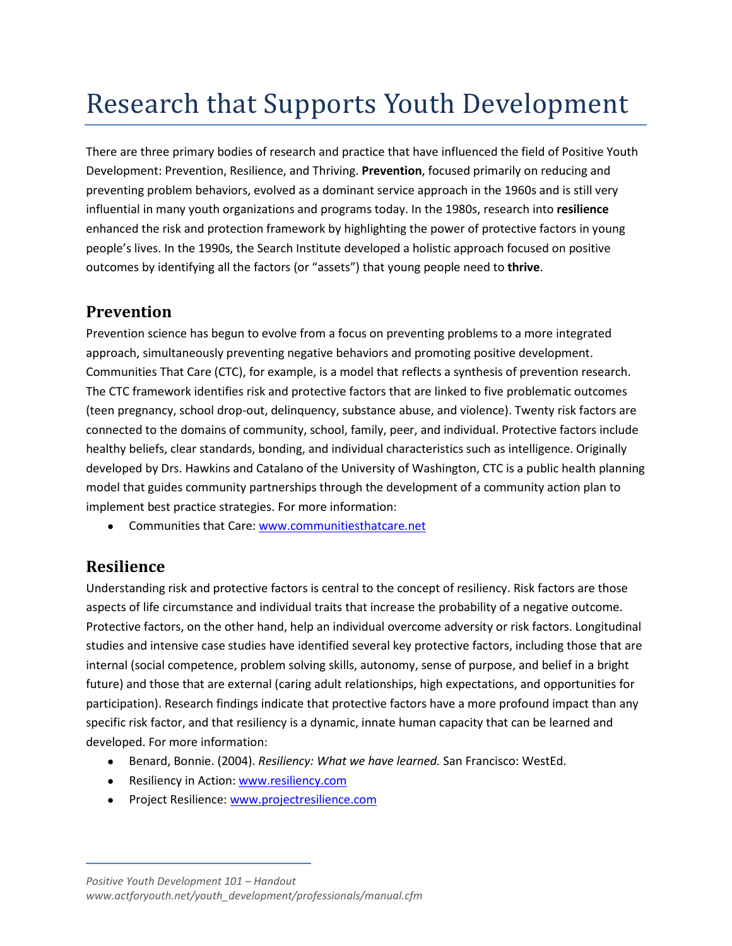## Research that Supports Youth Development

There are three primary bodies of research and practice that have influenced the field of Positive Youth Development: Prevention, Resilience, and Thriving. **Prevention**, focused primarily on reducing and preventing problem behaviors, evolved as a dominant service approach in the 1960s and is still very influential in many youth organizations and programs today. In the 1980s, research into **resilience** enhanced the risk and protection framework by highlighting the power of protective factors in young people's lives. In the 1990s, the Search Institute developed a holistic approach focused on positive outcomes by identifying all the factors (or "assets") that young people need to **thrive**.

## **Prevention**

Prevention science has begun to evolve from a focus on preventing problems to a more integrated approach, simultaneously preventing negative behaviors and promoting positive development. Communities That Care (CTC), for example, is a model that reflects a synthesis of prevention research. The CTC framework identifies risk and protective factors that are linked to five problematic outcomes (teen pregnancy, school drop-out, delinquency, substance abuse, and violence). Twenty risk factors are connected to the domains of community, school, family, peer, and individual. Protective factors include healthy beliefs, clear standards, bonding, and individual characteristics such as intelligence. Originally developed by Drs. Hawkins and Catalano of the University of Washington, CTC is a public health planning model that guides community partnerships through the development of a community action plan to implement best practice strategies. For more information:

• Communities that Care[: www.communitiesthatcare.net](http://www.communitiesthatcare.net/)

## **Resilience**

Understanding risk and protective factors is central to the concept of resiliency. Risk factors are those aspects of life circumstance and individual traits that increase the probability of a negative outcome. Protective factors, on the other hand, help an individual overcome adversity or risk factors. Longitudinal studies and intensive case studies have identified several key protective factors, including those that are internal (social competence, problem solving skills, autonomy, sense of purpose, and belief in a bright future) and those that are external (caring adult relationships, high expectations, and opportunities for participation). Research findings indicate that protective factors have a more profound impact than any specific risk factor, and that resiliency is a dynamic, innate human capacity that can be learned and developed. For more information:

- Benard, Bonnie. (2004). *Resiliency: What we have learned.* San Francisco: WestEd.
- Resiliency in Action: www.resiliency.com
- Project Resilience: [www.projectresilience.com](http://www.projectresilience.com/)